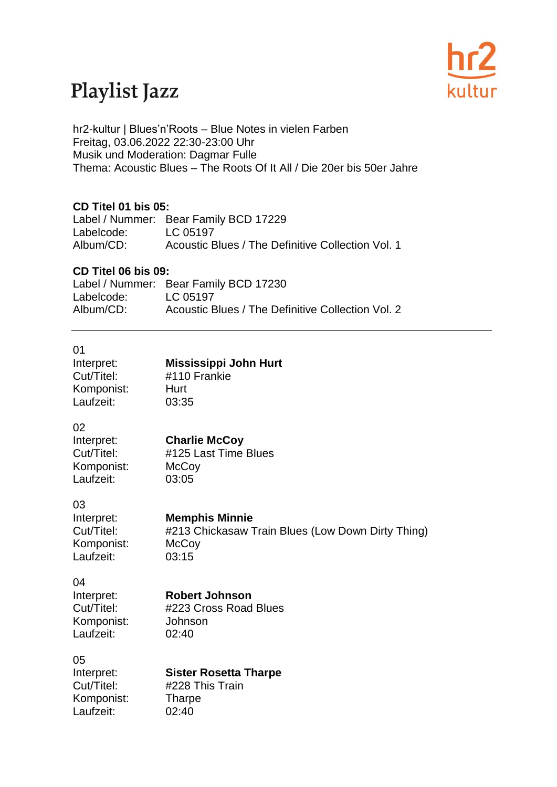## Playlist Jazz



hr2-kultur | Blues'n'Roots – Blue Notes in vielen Farben Freitag, 03.06.2022 22:30-23:00 Uhr Musik und Moderation: Dagmar Fulle Thema: Acoustic Blues – The Roots Of It All / Die 20er bis 50er Jahre

#### **CD Titel 01 bis 05:**

Label / Nummer: Bear Family BCD 17229 Labelcode: LC 05197 Album/CD: Acoustic Blues / The Definitive Collection Vol. 1

#### **CD Titel 06 bis 09:**

|            | Label / Nummer: Bear Family BCD 17230             |
|------------|---------------------------------------------------|
| Labelcode: | LC 05197                                          |
| Album/CD:  | Acoustic Blues / The Definitive Collection Vol. 2 |

| 01<br>Interpret:<br>Cut/Titel:<br>Komponist:<br>Laufzeit: | <b>Mississippi John Hurt</b><br>#110 Frankie<br>Hurt<br>03:35                                       |
|-----------------------------------------------------------|-----------------------------------------------------------------------------------------------------|
| 02<br>Interpret:<br>Cut/Titel:<br>Komponist:<br>Laufzeit: | <b>Charlie McCoy</b><br>#125 Last Time Blues<br>McCoy<br>03:05                                      |
| 03<br>Interpret:<br>Cut/Titel:<br>Komponist:<br>Laufzeit: | <b>Memphis Minnie</b><br>#213 Chickasaw Train Blues (Low Down Dirty Thing)<br><b>McCoy</b><br>03:15 |
| 04<br>Interpret:<br>Cut/Titel:<br>Komponist:<br>Laufzeit: | <b>Robert Johnson</b><br>#223 Cross Road Blues<br>Johnson<br>02:40                                  |
| 05<br>Interpret:<br>Cut/Titel:<br>Komponist:<br>Laufzeit: | <b>Sister Rosetta Tharpe</b><br>#228 This Train<br><b>Tharpe</b><br>02:40                           |